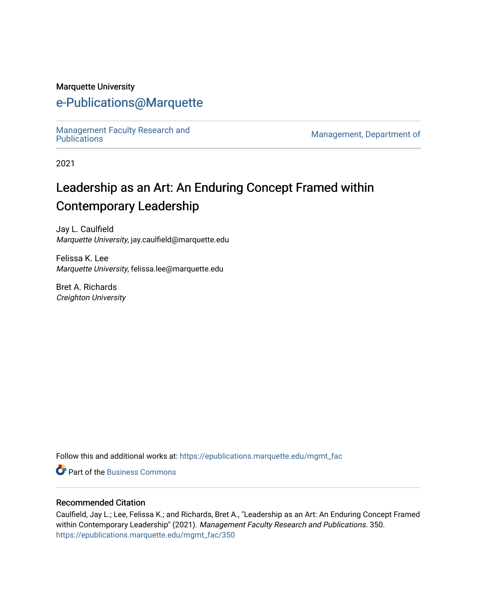#### Marquette University

# [e-Publications@Marquette](https://epublications.marquette.edu/)

Management Faculty Research and<br>Publications

Management, Department of

2021

# Leadership as an Art: An Enduring Concept Framed within Contemporary Leadership

Jay L. Caulfield Marquette University, jay.caulfield@marquette.edu

Felissa K. Lee Marquette University, felissa.lee@marquette.edu

Bret A. Richards Creighton University

Follow this and additional works at: [https://epublications.marquette.edu/mgmt\\_fac](https://epublications.marquette.edu/mgmt_fac?utm_source=epublications.marquette.edu%2Fmgmt_fac%2F350&utm_medium=PDF&utm_campaign=PDFCoverPages) 

**C** Part of the [Business Commons](http://network.bepress.com/hgg/discipline/622?utm_source=epublications.marquette.edu%2Fmgmt_fac%2F350&utm_medium=PDF&utm_campaign=PDFCoverPages)

#### Recommended Citation

Caulfield, Jay L.; Lee, Felissa K.; and Richards, Bret A., "Leadership as an Art: An Enduring Concept Framed within Contemporary Leadership" (2021). Management Faculty Research and Publications. 350. [https://epublications.marquette.edu/mgmt\\_fac/350](https://epublications.marquette.edu/mgmt_fac/350?utm_source=epublications.marquette.edu%2Fmgmt_fac%2F350&utm_medium=PDF&utm_campaign=PDFCoverPages)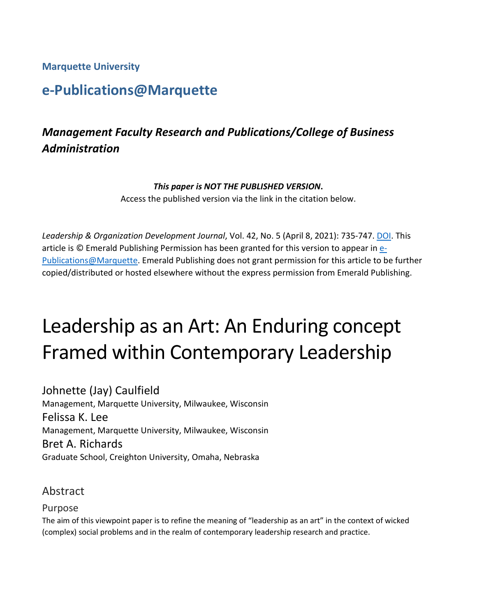**Marquette University**

# **e-Publications@Marquette**

# *Management Faculty Research and Publications/College of Business Administration*

#### *This paper is NOT THE PUBLISHED VERSION***.**

Access the published version via the link in the citation below.

*Leadership & Organization Development Journal*, Vol. 42, No. 5 (April 8, 2021): 735-747. [DOI.](https://doi.org/10.1108/LODJ-11-2020-0524) This article is © Emerald Publishing Permission has been granted for this version to appear in [e-](http://epublications.marquette.edu/)[Publications@Marquette.](http://epublications.marquette.edu/) Emerald Publishing does not grant permission for this article to be further copied/distributed or hosted elsewhere without the express permission from Emerald Publishing.

# Leadership as an Art: An Enduring concept Framed within Contemporary Leadership

Johnette (Jay) Caulfield Management, Marquette University, Milwaukee, Wisconsin Felissa K. Lee Management, Marquette University, Milwaukee, Wisconsin Bret A. Richards Graduate School, Creighton University, Omaha, Nebraska

## Abstract

#### Purpose

The aim of this viewpoint paper is to refine the meaning of "leadership as an art" in the context of wicked (complex) social problems and in the realm of contemporary leadership research and practice.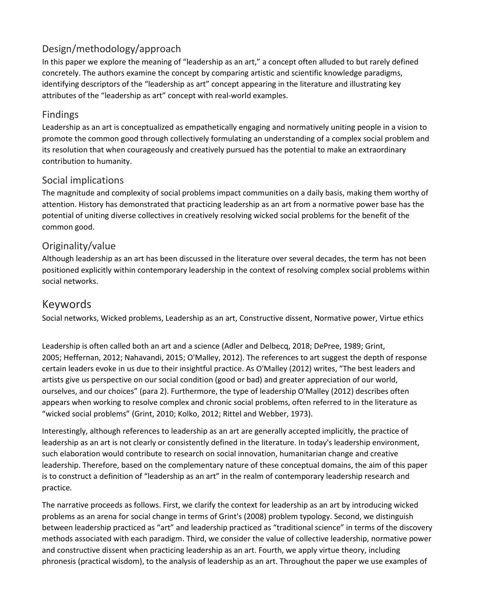## Design/methodology/approach

In this paper we explore the meaning of "leadership as an art," a concept often alluded to but rarely defined concretely. The authors examine the concept by comparing artistic and scientific knowledge paradigms, identifying descriptors of the "leadership as art" concept appearing in the literature and illustrating key attributes of the "leadership as art" concept with real-world examples.

## Findings

Leadership as an art is conceptualized as empathetically engaging and normatively uniting people in a vision to promote the common good through collectively formulating an understanding of a complex social problem and its resolution that when courageously and creatively pursued has the potential to make an extraordinary contribution to humanity.

#### Social implications

The magnitude and complexity of social problems impact communities on a daily basis, making them worthy of attention. History has demonstrated that practicing leadership as an art from a normative power base has the potential of uniting diverse collectives in creatively resolving wicked social problems for the benefit of the common good.

#### Originality/value

Although leadership as an art has been discussed in the literature over several decades, the term has not been positioned explicitly within contemporary leadership in the context of resolving complex social problems within social networks.

# Keywords

Social networks, Wicked problems, Leadership as an art, Constructive dissent, Normative power, Virtue ethics

Leadership is often called both an art and a science (Adler and Delbecq, 2018; DePree, 1989; Grint, 2005; Heffernan, 2012; Nahavandi, 2015; O'Malley, 2012). The references to art suggest the depth of response certain leaders evoke in us due to their insightful practice. As O'Malley (2012) writes, "The best leaders and artists give us perspective on our social condition (good or bad) and greater appreciation of our world, ourselves, and our choices" (para 2). Furthermore, the type of leadership O'Malley (2012) describes often appears when working to resolve complex and chronic social problems, often referred to in the literature as "wicked social problems" (Grint, 2010; Kolko, 2012; Rittel and Webber, 1973).

Interestingly, although references to leadership as an art are generally accepted implicitly, the practice of leadership as an art is not clearly or consistently defined in the literature. In today's leadership environment, such elaboration would contribute to research on social innovation, humanitarian change and creative leadership. Therefore, based on the complementary nature of these conceptual domains, the aim of this paper is to construct a definition of "leadership as an art" in the realm of contemporary leadership research and practice*.*

The narrative proceeds as follows. First, we clarify the context for leadership as an art by introducing wicked problems as an arena for social change in terms of Grint's (2008) problem typology. Second, we distinguish between leadership practiced as "art" and leadership practiced as "traditional science" in terms of the discovery methods associated with each paradigm. Third, we consider the value of collective leadership, normative power and constructive dissent when practicing leadership as an art. Fourth, we apply virtue theory, including phronesis (practical wisdom), to the analysis of leadership as an art. Throughout the paper we use examples of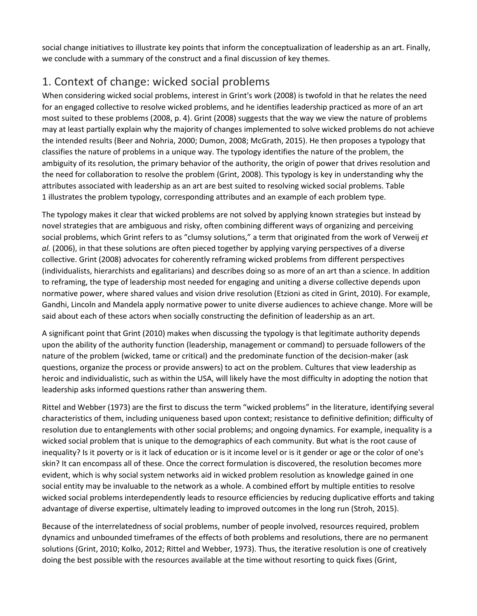social change initiatives to illustrate key points that inform the conceptualization of leadership as an art. Finally, we conclude with a summary of the construct and a final discussion of key themes.

# 1. Context of change: wicked social problems

When considering wicked social problems, interest in Grint's work (2008) is twofold in that he relates the need for an engaged collective to resolve wicked problems, and he identifies leadership practiced as more of an art most suited to these problems (2008, p. 4). Grint (2008) suggests that the way we view the nature of problems may at least partially explain why the majority of changes implemented to solve wicked problems do not achieve the intended results (Beer and Nohria, 2000; Dumon, 2008; McGrath, 2015). He then proposes a typology that classifies the nature of problems in a unique way. The typology identifies the nature of the problem, the ambiguity of its resolution, the primary behavior of the authority, the origin of power that drives resolution and the need for collaboration to resolve the problem (Grint, 2008). This typology is key in understanding why the attributes associated with leadership as an art are best suited to resolving wicked social problems. Table 1 illustrates the problem typology, corresponding attributes and an example of each problem type.

The typology makes it clear that wicked problems are not solved by applying known strategies but instead by novel strategies that are ambiguous and risky, often combining different ways of organizing and perceiving social problems, which Grint refers to as "clumsy solutions," a term that originated from the work of Verweij *et al.* (2006), in that these solutions are often pieced together by applying varying perspectives of a diverse collective. Grint (2008) advocates for coherently reframing wicked problems from different perspectives (individualists, hierarchists and egalitarians) and describes doing so as more of an art than a science. In addition to reframing, the type of leadership most needed for engaging and uniting a diverse collective depends upon normative power, where shared values and vision drive resolution (Etzioni as cited in Grint, 2010). For example, Gandhi, Lincoln and Mandela apply normative power to unite diverse audiences to achieve change. More will be said about each of these actors when socially constructing the definition of leadership as an art.

A significant point that Grint (2010) makes when discussing the typology is that legitimate authority depends upon the ability of the authority function (leadership, management or command) to persuade followers of the nature of the problem (wicked, tame or critical) and the predominate function of the decision-maker (ask questions, organize the process or provide answers) to act on the problem. Cultures that view leadership as heroic and individualistic, such as within the USA, will likely have the most difficulty in adopting the notion that leadership asks informed questions rather than answering them.

Rittel and Webber (1973) are the first to discuss the term "wicked problems" in the literature, identifying several characteristics of them, including uniqueness based upon context; resistance to definitive definition; difficulty of resolution due to entanglements with other social problems; and ongoing dynamics. For example, inequality is a wicked social problem that is unique to the demographics of each community. But what is the root cause of inequality? Is it poverty or is it lack of education or is it income level or is it gender or age or the color of one's skin? It can encompass all of these. Once the correct formulation is discovered, the resolution becomes more evident, which is why social system networks aid in wicked problem resolution as knowledge gained in one social entity may be invaluable to the network as a whole. A combined effort by multiple entities to resolve wicked social problems interdependently leads to resource efficiencies by reducing duplicative efforts and taking advantage of diverse expertise, ultimately leading to improved outcomes in the long run (Stroh, 2015).

Because of the interrelatedness of social problems, number of people involved, resources required, problem dynamics and unbounded timeframes of the effects of both problems and resolutions, there are no permanent solutions (Grint, 2010; Kolko, 2012; Rittel and Webber, 1973). Thus, the iterative resolution is one of creatively doing the best possible with the resources available at the time without resorting to quick fixes (Grint,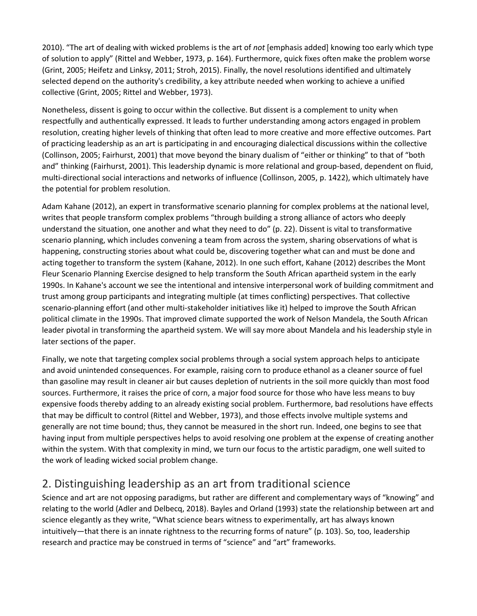2010). "The art of dealing with wicked problems is the art of *not* [emphasis added] knowing too early which type of solution to apply" (Rittel and Webber, 1973, p. 164). Furthermore, quick fixes often make the problem worse (Grint, 2005; Heifetz and Linksy, 2011; Stroh, 2015). Finally, the novel resolutions identified and ultimately selected depend on the authority's credibility, a key attribute needed when working to achieve a unified collective (Grint, 2005; Rittel and Webber, 1973).

Nonetheless, dissent is going to occur within the collective. But dissent is a complement to unity when respectfully and authentically expressed. It leads to further understanding among actors engaged in problem resolution, creating higher levels of thinking that often lead to more creative and more effective outcomes. Part of practicing leadership as an art is participating in and encouraging dialectical discussions within the collective (Collinson, 2005; Fairhurst, 2001) that move beyond the binary dualism of "either or thinking" to that of "both and" thinking (Fairhurst, 2001). This leadership dynamic is more relational and group-based, dependent on fluid, multi-directional social interactions and networks of influence (Collinson, 2005, p. 1422), which ultimately have the potential for problem resolution.

Adam Kahane (2012), an expert in transformative scenario planning for complex problems at the national level, writes that people transform complex problems "through building a strong alliance of actors who deeply understand the situation, one another and what they need to do" (p. 22). Dissent is vital to transformative scenario planning, which includes convening a team from across the system, sharing observations of what is happening, constructing stories about what could be, discovering together what can and must be done and acting together to transform the system (Kahane, 2012). In one such effort, Kahane (2012) describes the Mont Fleur Scenario Planning Exercise designed to help transform the South African apartheid system in the early 1990s. In Kahane's account we see the intentional and intensive interpersonal work of building commitment and trust among group participants and integrating multiple (at times conflicting) perspectives. That collective scenario-planning effort (and other multi-stakeholder initiatives like it) helped to improve the South African political climate in the 1990s. That improved climate supported the work of Nelson Mandela, the South African leader pivotal in transforming the apartheid system. We will say more about Mandela and his leadership style in later sections of the paper.

Finally, we note that targeting complex social problems through a social system approach helps to anticipate and avoid unintended consequences. For example, raising corn to produce ethanol as a cleaner source of fuel than gasoline may result in cleaner air but causes depletion of nutrients in the soil more quickly than most food sources. Furthermore, it raises the price of corn, a major food source for those who have less means to buy expensive foods thereby adding to an already existing social problem. Furthermore, bad resolutions have effects that may be difficult to control (Rittel and Webber, 1973), and those effects involve multiple systems and generally are not time bound; thus, they cannot be measured in the short run. Indeed, one begins to see that having input from multiple perspectives helps to avoid resolving one problem at the expense of creating another within the system. With that complexity in mind, we turn our focus to the artistic paradigm, one well suited to the work of leading wicked social problem change.

# 2. Distinguishing leadership as an art from traditional science

Science and art are not opposing paradigms, but rather are different and complementary ways of "knowing" and relating to the world (Adler and Delbecq, 2018). Bayles and Orland (1993) state the relationship between art and science elegantly as they write, "What science bears witness to experimentally, art has always known intuitively—that there is an innate rightness to the recurring forms of nature" (p. 103). So, too, leadership research and practice may be construed in terms of "science" and "art" frameworks.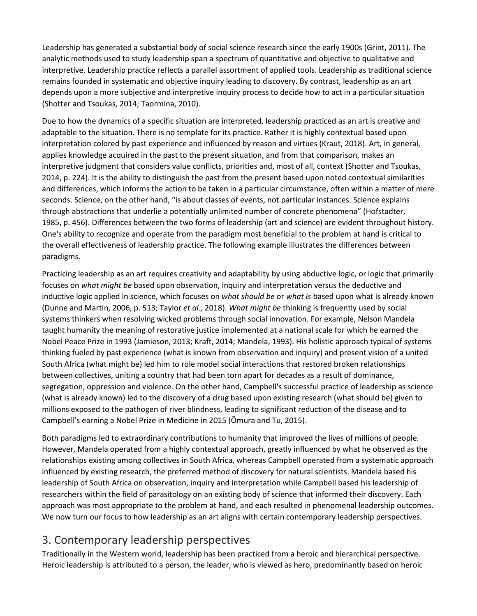Leadership has generated a substantial body of social science research since the early 1900s (Grint, 2011). The analytic methods used to study leadership span a spectrum of quantitative and objective to qualitative and interpretive. Leadership practice reflects a parallel assortment of applied tools. Leadership as traditional science remains founded in systematic and objective inquiry leading to discovery. By contrast, leadership as an art depends upon a more subjective and interpretive inquiry process to decide how to act in a particular situation (Shotter and Tsoukas, 2014; Taormina, 2010).

Due to how the dynamics of a specific situation are interpreted, leadership practiced as an art is creative and adaptable to the situation. There is no template for its practice. Rather it is highly contextual based upon interpretation colored by past experience and influenced by reason and virtues (Kraut, 2018). Art, in general, applies knowledge acquired in the past to the present situation, and from that comparison, makes an interpretive judgment that considers value conflicts, priorities and, most of all, context (Shotter and Tsoukas, 2014, p. 224). It is the ability to distinguish the past from the present based upon noted contextual similarities and differences, which informs the action to be taken in a particular circumstance, often within a matter of mere seconds. Science, on the other hand, "is about classes of events, not particular instances. Science explains through abstractions that underlie a potentially unlimited number of concrete phenomena" (Hofstadter, 1985, p. 456). Differences between the two forms of leadership (art and science) are evident throughout history. One's ability to recognize and operate from the paradigm most beneficial to the problem at hand is critical to the overall effectiveness of leadership practice. The following example illustrates the differences between paradigms.

Practicing leadership as an art requires creativity and adaptability by using abductive logic, or logic that primarily focuses on *what might be* based upon observation, inquiry and interpretation versus the deductive and inductive logic applied in science, which focuses on *what should be* or *what is* based upon what is already known (Dunne and Martin, 2006, p. 513; Taylor *et al.*, 2018). *What might be* thinking is frequently used by social systems thinkers when resolving wicked problems through social innovation. For example, Nelson Mandela taught humanity the meaning of restorative justice implemented at a national scale for which he earned the Nobel Peace Prize in 1993 (Jamieson, 2013; Kraft, 2014; Mandela, 1993). His holistic approach typical of systems thinking fueled by past experience (what is known from observation and inquiry) and present vision of a united South Africa (what might be) led him to role model social interactions that restored broken relationships between collectives, uniting a country that had been torn apart for decades as a result of dominance, segregation, oppression and violence. On the other hand, Campbell's successful practice of leadership as science (what is already known) led to the discovery of a drug based upon existing research (what should be) given to millions exposed to the pathogen of river blindness, leading to significant reduction of the disease and to Campbell's earning a Nobel Prize in Medicine in 2015 (Ōmura and Tu, 2015).

Both paradigms led to extraordinary contributions to humanity that improved the lives of millions of people. However, Mandela operated from a highly contextual approach, greatly influenced by what he observed as the relationships existing among collectives in South Africa, whereas Campbell operated from a systematic approach influenced by existing research, the preferred method of discovery for natural scientists. Mandela based his leadership of South Africa on observation, inquiry and interpretation while Campbell based his leadership of researchers within the field of parasitology on an existing body of science that informed their discovery. Each approach was most appropriate to the problem at hand, and each resulted in phenomenal leadership outcomes. We now turn our focus to how leadership as an art aligns with certain contemporary leadership perspectives.

# 3. Contemporary leadership perspectives

Traditionally in the Western world, leadership has been practiced from a heroic and hierarchical perspective. Heroic leadership is attributed to a person, the leader, who is viewed as hero, predominantly based on heroic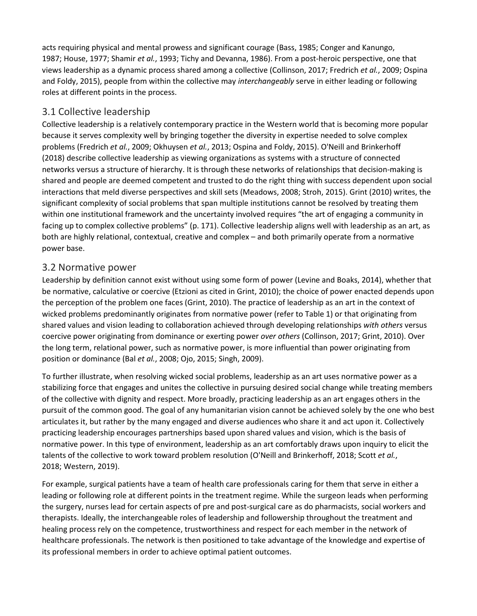acts requiring physical and mental prowess and significant courage (Bass, 1985; Conger and Kanungo, 1987; House, 1977; Shamir *et al.*, 1993; Tichy and Devanna, 1986). From a post-heroic perspective, one that views leadership as a dynamic process shared among a collective (Collinson, 2017; Fredrich *et al.*, 2009; Ospina and Foldy, 2015), people from within the collective may *interchangeably* serve in either leading or following roles at different points in the process.

### 3.1 Collective leadership

Collective leadership is a relatively contemporary practice in the Western world that is becoming more popular because it serves complexity well by bringing together the diversity in expertise needed to solve complex problems (Fredrich *et al.*, 2009; Okhuysen *et al.*, 2013; Ospina and Foldy, 2015). O'Neill and Brinkerhoff (2018) describe collective leadership as viewing organizations as systems with a structure of connected networks versus a structure of hierarchy. It is through these networks of relationships that decision-making is shared and people are deemed competent and trusted to do the right thing with success dependent upon social interactions that meld diverse perspectives and skill sets (Meadows, 2008; Stroh, 2015). Grint (2010) writes, the significant complexity of social problems that span multiple institutions cannot be resolved by treating them within one institutional framework and the uncertainty involved requires "the art of engaging a community in facing up to complex collective problems" (p. 171). Collective leadership aligns well with leadership as an art, as both are highly relational, contextual, creative and complex – and both primarily operate from a normative power base.

#### 3.2 Normative power

Leadership by definition cannot exist without using some form of power (Levine and Boaks, 2014), whether that be normative, calculative or coercive (Etzioni as cited in Grint, 2010); the choice of power enacted depends upon the perception of the problem one faces (Grint, 2010). The practice of leadership as an art in the context of wicked problems predominantly originates from normative power (refer to Table 1) or that originating from shared values and vision leading to collaboration achieved through developing relationships *with others* versus coercive power originating from dominance or exerting power *over others* (Collinson, 2017; Grint, 2010). Over the long term, relational power, such as normative power, is more influential than power originating from position or dominance (Bal *et al.*, 2008; Ojo, 2015; Singh, 2009).

To further illustrate, when resolving wicked social problems, leadership as an art uses normative power as a stabilizing force that engages and unites the collective in pursuing desired social change while treating members of the collective with dignity and respect. More broadly, practicing leadership as an art engages others in the pursuit of the common good. The goal of any humanitarian vision cannot be achieved solely by the one who best articulates it, but rather by the many engaged and diverse audiences who share it and act upon it. Collectively practicing leadership encourages partnerships based upon shared values and vision, which is the basis of normative power. In this type of environment, leadership as an art comfortably draws upon inquiry to elicit the talents of the collective to work toward problem resolution (O'Neill and Brinkerhoff, 2018; Scott *et al.*, 2018; Western, 2019).

For example, surgical patients have a team of health care professionals caring for them that serve in either a leading or following role at different points in the treatment regime. While the surgeon leads when performing the surgery, nurses lead for certain aspects of pre and post-surgical care as do pharmacists, social workers and therapists. Ideally, the interchangeable roles of leadership and followership throughout the treatment and healing process rely on the competence, trustworthiness and respect for each member in the network of healthcare professionals. The network is then positioned to take advantage of the knowledge and expertise of its professional members in order to achieve optimal patient outcomes.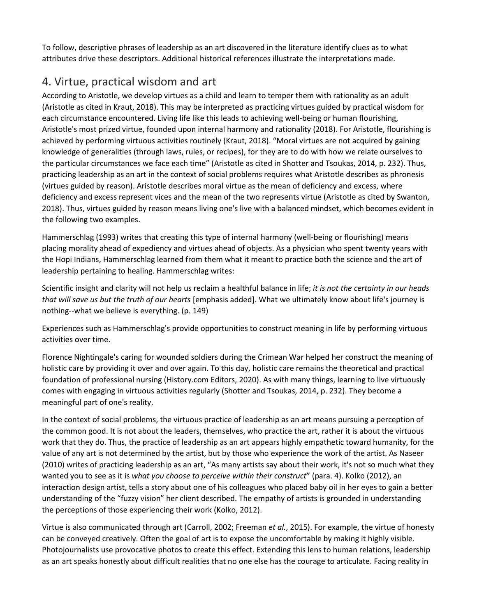To follow, descriptive phrases of leadership as an art discovered in the literature identify clues as to what attributes drive these descriptors. Additional historical references illustrate the interpretations made.

# 4. Virtue, practical wisdom and art

According to Aristotle, we develop virtues as a child and learn to temper them with rationality as an adult (Aristotle as cited in Kraut, 2018). This may be interpreted as practicing virtues guided by practical wisdom for each circumstance encountered. Living life like this leads to achieving well-being or human flourishing, Aristotle's most prized virtue, founded upon internal harmony and rationality (2018). For Aristotle, flourishing is achieved by performing virtuous activities routinely (Kraut, 2018). "Moral virtues are not acquired by gaining knowledge of generalities (through laws, rules, or recipes), for they are to do with how we relate ourselves to the particular circumstances we face each time" (Aristotle as cited in Shotter and Tsoukas, 2014, p. 232). Thus, practicing leadership as an art in the context of social problems requires what Aristotle describes as phronesis (virtues guided by reason). Aristotle describes moral virtue as the mean of deficiency and excess, where deficiency and excess represent vices and the mean of the two represents virtue (Aristotle as cited by Swanton, 2018). Thus, virtues guided by reason means living one's live with a balanced mindset, which becomes evident in the following two examples.

Hammerschlag (1993) writes that creating this type of internal harmony (well-being or flourishing) means placing morality ahead of expediency and virtues ahead of objects. As a physician who spent twenty years with the Hopi Indians, Hammerschlag learned from them what it meant to practice both the science and the art of leadership pertaining to healing. Hammerschlag writes:

Scientific insight and clarity will not help us reclaim a healthful balance in life; *it is not the certainty in our heads that will save us but the truth of our hearts* [emphasis added]. What we ultimately know about life's journey is nothing--what we believe is everything. (p. 149)

Experiences such as Hammerschlag's provide opportunities to construct meaning in life by performing virtuous activities over time.

Florence Nightingale's caring for wounded soldiers during the Crimean War helped her construct the meaning of holistic care by providing it over and over again. To this day, holistic care remains the theoretical and practical foundation of professional nursing (History.com Editors, 2020). As with many things, learning to live virtuously comes with engaging in virtuous activities regularly (Shotter and Tsoukas, 2014, p. 232). They become a meaningful part of one's reality.

In the context of social problems, the virtuous practice of leadership as an art means pursuing a perception of the common good. It is not about the leaders, themselves, who practice the art, rather it is about the virtuous work that they do. Thus, the practice of leadership as an art appears highly empathetic toward humanity, for the value of any art is not determined by the artist, but by those who experience the work of the artist. As Naseer (2010) writes of practicing leadership as an art, "As many artists say about their work, it's not so much what they wanted you to see as it is *what you choose to perceive within their construct*" (para. 4). Kolko (2012), an interaction design artist, tells a story about one of his colleagues who placed baby oil in her eyes to gain a better understanding of the "fuzzy vision" her client described. The empathy of artists is grounded in understanding the perceptions of those experiencing their work (Kolko, 2012).

Virtue is also communicated through art (Carroll, 2002; Freeman *et al.*, 2015). For example, the virtue of honesty can be conveyed creatively. Often the goal of art is to expose the uncomfortable by making it highly visible. Photojournalists use provocative photos to create this effect. Extending this lens to human relations, leadership as an art speaks honestly about difficult realities that no one else has the courage to articulate. Facing reality in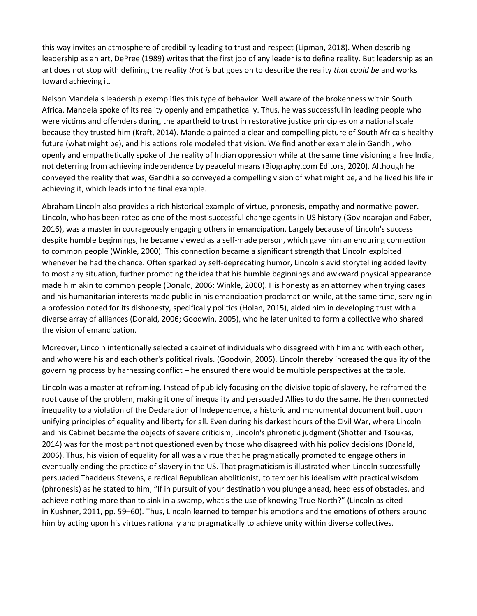this way invites an atmosphere of credibility leading to trust and respect (Lipman, 2018). When describing leadership as an art, DePree (1989) writes that the first job of any leader is to define reality. But leadership as an art does not stop with defining the reality *that is* but goes on to describe the reality *that could be* and works toward achieving it.

Nelson Mandela's leadership exemplifies this type of behavior. Well aware of the brokenness within South Africa, Mandela spoke of its reality openly and empathetically. Thus, he was successful in leading people who were victims and offenders during the apartheid to trust in restorative justice principles on a national scale because they trusted him (Kraft, 2014). Mandela painted a clear and compelling picture of South Africa's healthy future (what might be), and his actions role modeled that vision. We find another example in Gandhi, who openly and empathetically spoke of the reality of Indian oppression while at the same time visioning a free India, not deterring from achieving independence by peaceful means (Biography.com Editors, 2020). Although he conveyed the reality that was, Gandhi also conveyed a compelling vision of what might be, and he lived his life in achieving it, which leads into the final example.

Abraham Lincoln also provides a rich historical example of virtue, phronesis, empathy and normative power. Lincoln, who has been rated as one of the most successful change agents in US history (Govindarajan and Faber, 2016), was a master in courageously engaging others in emancipation. Largely because of Lincoln's success despite humble beginnings, he became viewed as a self-made person, which gave him an enduring connection to common people (Winkle, 2000). This connection became a significant strength that Lincoln exploited whenever he had the chance. Often sparked by self-deprecating humor, Lincoln's avid storytelling added levity to most any situation, further promoting the idea that his humble beginnings and awkward physical appearance made him akin to common people (Donald, 2006; Winkle, 2000). His honesty as an attorney when trying cases and his humanitarian interests made public in his emancipation proclamation while, at the same time, serving in a profession noted for its dishonesty, specifically politics (Holan, 2015), aided him in developing trust with a diverse array of alliances (Donald, 2006; Goodwin, 2005), who he later united to form a collective who shared the vision of emancipation.

Moreover, Lincoln intentionally selected a cabinet of individuals who disagreed with him and with each other, and who were his and each other's political rivals. (Goodwin, 2005). Lincoln thereby increased the quality of the governing process by harnessing conflict – he ensured there would be multiple perspectives at the table.

Lincoln was a master at reframing. Instead of publicly focusing on the divisive topic of slavery, he reframed the root cause of the problem, making it one of inequality and persuaded Allies to do the same. He then connected inequality to a violation of the Declaration of Independence, a historic and monumental document built upon unifying principles of equality and liberty for all. Even during his darkest hours of the Civil War, where Lincoln and his Cabinet became the objects of severe criticism, Lincoln's phronetic judgment (Shotter and Tsoukas, 2014) was for the most part not questioned even by those who disagreed with his policy decisions (Donald, 2006). Thus, his vision of equality for all was a virtue that he pragmatically promoted to engage others in eventually ending the practice of slavery in the US. That pragmaticism is illustrated when Lincoln successfully persuaded Thaddeus Stevens, a radical Republican abolitionist, to temper his idealism with practical wisdom (phronesis) as he stated to him, "If in pursuit of your destination you plunge ahead, heedless of obstacles, and achieve nothing more than to sink in a swamp, what's the use of knowing True North?" (Lincoln as cited in Kushner, 2011, pp. 59–60). Thus, Lincoln learned to temper his emotions and the emotions of others around him by acting upon his virtues rationally and pragmatically to achieve unity within diverse collectives.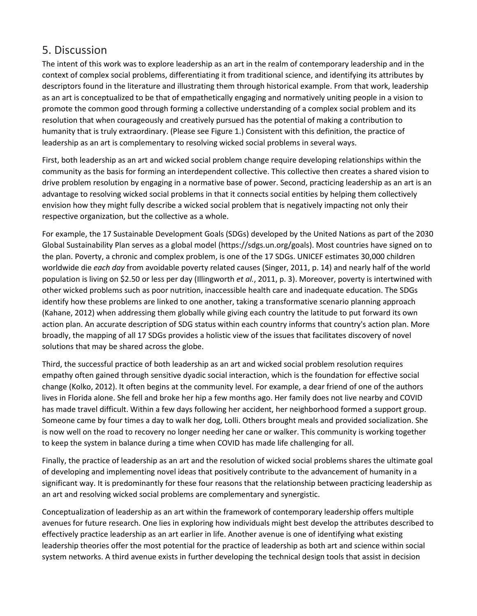## 5. Discussion

The intent of this work was to explore leadership as an art in the realm of contemporary leadership and in the context of complex social problems, differentiating it from traditional science, and identifying its attributes by descriptors found in the literature and illustrating them through historical example. From that work, leadership as an art is conceptualized to be that of empathetically engaging and normatively uniting people in a vision to promote the common good through forming a collective understanding of a complex social problem and its resolution that when courageously and creatively pursued has the potential of making a contribution to humanity that is truly extraordinary. (Please see Figure 1.) Consistent with this definition, the practice of leadership as an art is complementary to resolving wicked social problems in several ways.

First, both leadership as an art and wicked social problem change require developing relationships within the community as the basis for forming an interdependent collective. This collective then creates a shared vision to drive problem resolution by engaging in a normative base of power. Second, practicing leadership as an art is an advantage to resolving wicked social problems in that it connects social entities by helping them collectively envision how they might fully describe a wicked social problem that is negatively impacting not only their respective organization, but the collective as a whole.

For example, the 17 Sustainable Development Goals (SDGs) developed by the United Nations as part of the 2030 Global Sustainability Plan serves as a global model (https://sdgs.un.org/goals). Most countries have signed on to the plan. Poverty, a chronic and complex problem, is one of the 17 SDGs. UNICEF estimates 30,000 children worldwide die *each day* from avoidable poverty related causes (Singer, 2011, p. 14) and nearly half of the world population is living on \$2.50 or less per day (Illingworth *et al.*, 2011, p. 3). Moreover, poverty is intertwined with other wicked problems such as poor nutrition, inaccessible health care and inadequate education. The SDGs identify how these problems are linked to one another, taking a transformative scenario planning approach (Kahane, 2012) when addressing them globally while giving each country the latitude to put forward its own action plan. An accurate description of SDG status within each country informs that country's action plan. More broadly, the mapping of all 17 SDGs provides a holistic view of the issues that facilitates discovery of novel solutions that may be shared across the globe.

Third, the successful practice of both leadership as an art and wicked social problem resolution requires empathy often gained through sensitive dyadic social interaction, which is the foundation for effective social change (Kolko, 2012). It often begins at the community level. For example, a dear friend of one of the authors lives in Florida alone. She fell and broke her hip a few months ago. Her family does not live nearby and COVID has made travel difficult. Within a few days following her accident, her neighborhood formed a support group. Someone came by four times a day to walk her dog, Lolli. Others brought meals and provided socialization. She is now well on the road to recovery no longer needing her cane or walker. This community is working together to keep the system in balance during a time when COVID has made life challenging for all.

Finally, the practice of leadership as an art and the resolution of wicked social problems shares the ultimate goal of developing and implementing novel ideas that positively contribute to the advancement of humanity in a significant way. It is predominantly for these four reasons that the relationship between practicing leadership as an art and resolving wicked social problems are complementary and synergistic.

Conceptualization of leadership as an art within the framework of contemporary leadership offers multiple avenues for future research. One lies in exploring how individuals might best develop the attributes described to effectively practice leadership as an art earlier in life. Another avenue is one of identifying what existing leadership theories offer the most potential for the practice of leadership as both art and science within social system networks. A third avenue exists in further developing the technical design tools that assist in decision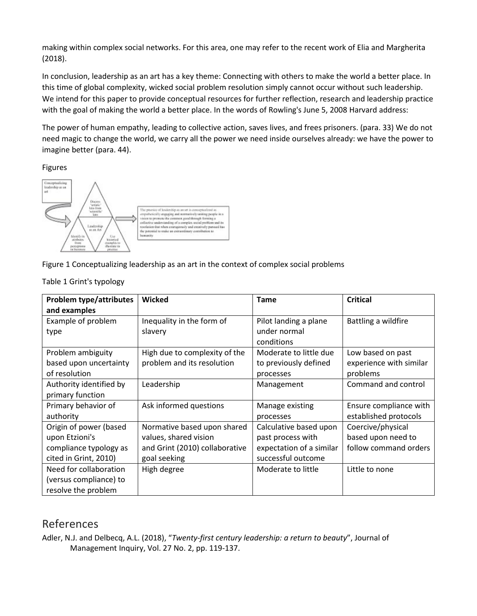making within complex social networks. For this area, one may refer to the recent work of Elia and Margherita (2018).

In conclusion, leadership as an art has a key theme: Connecting with others to make the world a better place. In this time of global complexity, wicked social problem resolution simply cannot occur without such leadership. We intend for this paper to provide conceptual resources for further reflection, research and leadership practice with the goal of making the world a better place. In the words of Rowling's June 5, 2008 Harvard address:

The power of human empathy, leading to collective action, saves lives, and frees prisoners. (para. 33) We do not need magic to change the world, we carry all the power we need inside ourselves already: we have the power to imagine better (para. 44).

#### Figures



Figure 1 Conceptualizing leadership as an art in the context of complex social problems

| <b>Problem type/attributes</b> | Wicked                         | <b>Tame</b>              | <b>Critical</b>         |
|--------------------------------|--------------------------------|--------------------------|-------------------------|
| and examples                   |                                |                          |                         |
| Example of problem             | Inequality in the form of      | Pilot landing a plane    | Battling a wildfire     |
| type                           | slavery                        | under normal             |                         |
|                                |                                | conditions               |                         |
| Problem ambiguity              | High due to complexity of the  | Moderate to little due   | Low based on past       |
| based upon uncertainty         | problem and its resolution     | to previously defined    | experience with similar |
| of resolution                  |                                | processes                | problems                |
| Authority identified by        | Leadership                     | Management               | Command and control     |
| primary function               |                                |                          |                         |
| Primary behavior of            | Ask informed questions         | Manage existing          | Ensure compliance with  |
| authority                      |                                | processes                | established protocols   |
| Origin of power (based         | Normative based upon shared    | Calculative based upon   | Coercive/physical       |
| upon Etzioni's                 | values, shared vision          | past process with        | based upon need to      |
| compliance typology as         | and Grint (2010) collaborative | expectation of a similar | follow command orders   |
| cited in Grint, 2010)          | goal seeking                   | successful outcome       |                         |
| Need for collaboration         | High degree                    | Moderate to little       | Little to none          |
| (versus compliance) to         |                                |                          |                         |
| resolve the problem            |                                |                          |                         |

Table 1 Grint's typology

# References

Adler, N.J. and Delbecq, A.L. (2018), "*Twenty-first century leadership: a return to beauty*", Journal of Management Inquiry, Vol. 27 No. 2, pp. 119-137.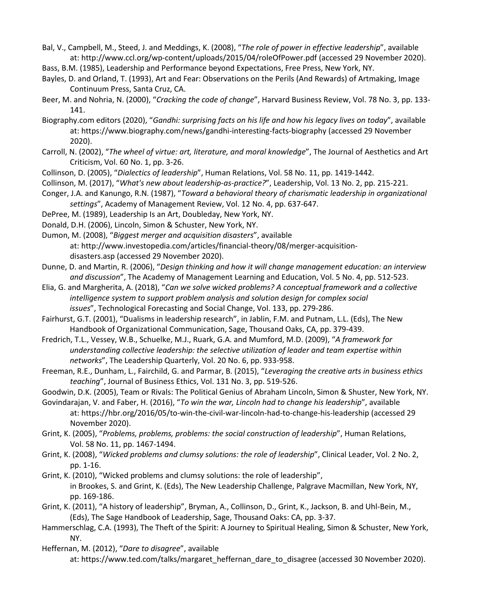Bal, V., Campbell, M., Steed, J. and Meddings, K. (2008), "*The role of power in effective leadership*", available at: http://www.ccl.org/wp-content/uploads/2015/04/roleOfPower.pdf (accessed 29 November 2020).

- Bass, B.M. (1985), Leadership and Performance beyond Expectations, Free Press, New York, NY.
- Bayles, D. and Orland, T. (1993), Art and Fear: Observations on the Perils (And Rewards) of Artmaking, Image Continuum Press, Santa Cruz, CA.
- Beer, M. and Nohria, N. (2000), "*Cracking the code of change*", Harvard Business Review, Vol. 78 No. 3, pp. 133- 141.

Biography.com editors (2020), "*Gandhi: surprising facts on his life and how his legacy lives on today*", available at: https://www.biography.com/news/gandhi-interesting-facts-biography (accessed 29 November 2020).

Carroll, N. (2002), "*The wheel of virtue: art, literature, and moral knowledge*", The Journal of Aesthetics and Art Criticism, Vol. 60 No. 1, pp. 3-26.

Collinson, D. (2005), "*Dialectics of leadership*", Human Relations, Vol. 58 No. 11, pp. 1419-1442.

Collinson, M. (2017), "*What's new about leadership-as-practice?*", Leadership, Vol. 13 No. 2, pp. 215-221.

Conger, J.A. and Kanungo, R.N. (1987), "*Toward a behavioral theory of charismatic leadership in organizational settings*", Academy of Management Review, Vol. 12 No. 4, pp. 637-647.

DePree, M. (1989), Leadership Is an Art, Doubleday, New York, NY.

Donald, D.H. (2006), Lincoln, Simon & Schuster, New York, NY.

Dumon, M. (2008), "*Biggest merger and acquisition disasters*", available at: http://www.investopedia.com/articles/financial-theory/08/merger-acquisitiondisasters.asp (accessed 29 November 2020).

Dunne, D. and Martin, R. (2006), "*Design thinking and how it will change management education: an interview and discussion*", The Academy of Management Learning and Education, Vol. 5 No. 4, pp. 512-523.

- Elia, G. and Margherita, A. (2018), "*Can we solve wicked problems? A conceptual framework and a collective intelligence system to support problem analysis and solution design for complex social issues*", Technological Forecasting and Social Change, Vol. 133, pp. 279-286.
- Fairhurst, G.T. (2001), "Dualisms in leadership research", in Jablin, F.M. and Putnam, L.L. (Eds), The New Handbook of Organizational Communication, Sage, Thousand Oaks, CA, pp. 379-439.
- Fredrich, T.L., Vessey, W.B., Schuelke, M.J., Ruark, G.A. and Mumford, M.D. (2009), "*A framework for understanding collective leadership: the selective utilization of leader and team expertise within networks*", The Leadership Quarterly, Vol. 20 No. 6, pp. 933-958.
- Freeman, R.E., Dunham, L., Fairchild, G. and Parmar, B. (2015), "*Leveraging the creative arts in business ethics teaching*", Journal of Business Ethics, Vol. 131 No. 3, pp. 519-526.

Goodwin, D.K. (2005), Team or Rivals: The Political Genius of Abraham Lincoln, Simon & Shuster, New York, NY.

Govindarajan, V. and Faber, H. (2016), "*To win the war, Lincoln had to change his leadership*", available at: https://hbr.org/2016/05/to-win-the-civil-war-lincoln-had-to-change-his-leadership (accessed 29 November 2020).

Grint, K. (2005), "*Problems, problems, problems: the social construction of leadership*", Human Relations, Vol. 58 No. 11, pp. 1467-1494.

Grint, K. (2008), "*Wicked problems and clumsy solutions: the role of leadership*", Clinical Leader, Vol. 2 No. 2, pp. 1-16.

Grint, K. (2010), "Wicked problems and clumsy solutions: the role of leadership", in Brookes, S. and Grint, K. (Eds), The New Leadership Challenge, Palgrave Macmillan, New York, NY, pp. 169-186.

Grint, K. (2011), "A history of leadership", Bryman, A., Collinson, D., Grint, K., Jackson, B. and Uhl-Bein, M., (Eds), The Sage Handbook of Leadership, Sage, Thousand Oaks: CA, pp. 3-37.

Hammerschlag, C.A. (1993), The Theft of the Spirit: A Journey to Spiritual Healing, Simon & Schuster, New York, NY.

Heffernan, M. (2012), "*Dare to disagree*", available

at: https://www.ted.com/talks/margaret\_heffernan\_dare\_to\_disagree (accessed 30 November 2020).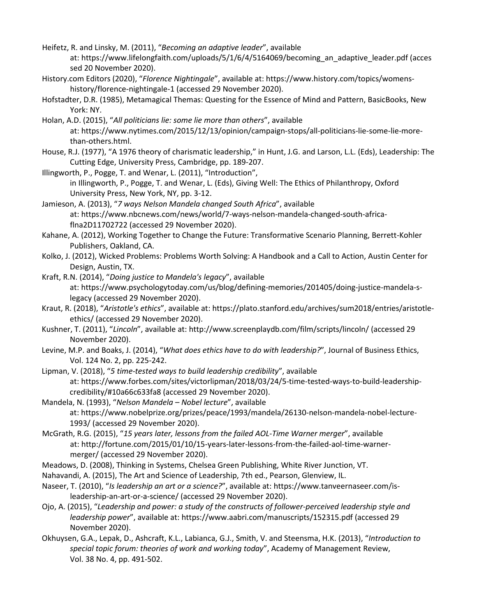- Heifetz, R. and Linsky, M. (2011), "*Becoming an adaptive leader*", available at: https://www.lifelongfaith.com/uploads/5/1/6/4/5164069/becoming\_an\_adaptive\_leader.pdf (acces sed 20 November 2020).
- History.com Editors (2020), "*Florence Nightingale*", available at: https://www.history.com/topics/womenshistory/florence-nightingale-1 (accessed 29 November 2020).
- Hofstadter, D.R. (1985), Metamagical Themas: Questing for the Essence of Mind and Pattern, BasicBooks, New York: NY.
- Holan, A.D. (2015), "*All politicians lie: some lie more than others*", available at: https://www.nytimes.com/2015/12/13/opinion/campaign-stops/all-politicians-lie-some-lie-morethan-others.html.
- House, R.J. (1977), "A 1976 theory of charismatic leadership," in Hunt, J.G. and Larson, L.L. (Eds), Leadership: The Cutting Edge, University Press, Cambridge, pp. 189-207.
- Illingworth, P., Pogge, T. and Wenar, L. (2011), "Introduction",
	- in Illingworth, P., Pogge, T. and Wenar, L. (Eds), Giving Well: The Ethics of Philanthropy, Oxford University Press, New York, NY, pp. 3-12.
- Jamieson, A. (2013), "*7 ways Nelson Mandela changed South Africa*", available at: https://www.nbcnews.com/news/world/7-ways-nelson-mandela-changed-south-africaflna2D11702722 (accessed 29 November 2020).
- Kahane, A. (2012), Working Together to Change the Future: Transformative Scenario Planning, Berrett-Kohler Publishers, Oakland, CA.
- Kolko, J. (2012), Wicked Problems: Problems Worth Solving: A Handbook and a Call to Action, Austin Center for Design, Austin, TX.
- Kraft, R.N. (2014), "*Doing justice to Mandela's legacy*", available
	- at: https://www.psychologytoday.com/us/blog/defining-memories/201405/doing-justice-mandela-slegacy (accessed 29 November 2020).
- Kraut, R. (2018), "*Aristotle's ethics*", available at: https://plato.stanford.edu/archives/sum2018/entries/aristotleethics/ (accessed 29 November 2020).
- Kushner, T. (2011), "*Lincoln*", available at: http://www.screenplaydb.com/film/scripts/lincoln/ (accessed 29 November 2020).
- Levine, M.P. and Boaks, J. (2014), "*What does ethics have to do with leadership?*", Journal of Business Ethics, Vol. 124 No. 2, pp. 225-242.
- Lipman, V. (2018), "*5 time-tested ways to build leadership credibility*", available at: https://www.forbes.com/sites/victorlipman/2018/03/24/5-time-tested-ways-to-build-leadershipcredibility/#10a66c633fa8 (accessed 29 November 2020).
- Mandela, N. (1993), "*Nelson Mandela – Nobel lecture*", available at: https://www.nobelprize.org/prizes/peace/1993/mandela/26130-nelson-mandela-nobel-lecture-1993/ (accessed 29 November 2020).
- McGrath, R.G. (2015), "*15 years later, lessons from the failed AOL-Time Warner merger*", available at: http://fortune.com/2015/01/10/15-years-later-lessons-from-the-failed-aol-time-warnermerger/ (accessed 29 November 2020).
- Meadows, D. (2008), Thinking in Systems, Chelsea Green Publishing, White River Junction, VT.
- Nahavandi, A. (2015), The Art and Science of Leadership, 7th ed., Pearson, Glenview, IL.
- Naseer, T. (2010), "*Is leadership an art or a science?*", available at: https://www.tanveernaseer.com/isleadership-an-art-or-a-science/ (accessed 29 November 2020).
- Ojo, A. (2015), "*Leadership and power: a study of the constructs of follower-perceived leadership style and leadership power*", available at: https://www.aabri.com/manuscripts/152315.pdf (accessed 29 November 2020).
- Okhuysen, G.A., Lepak, D., Ashcraft, K.L., Labianca, G.J., Smith, V. and Steensma, H.K. (2013), "*Introduction to special topic forum: theories of work and working today*", Academy of Management Review, Vol. 38 No. 4, pp. 491-502.